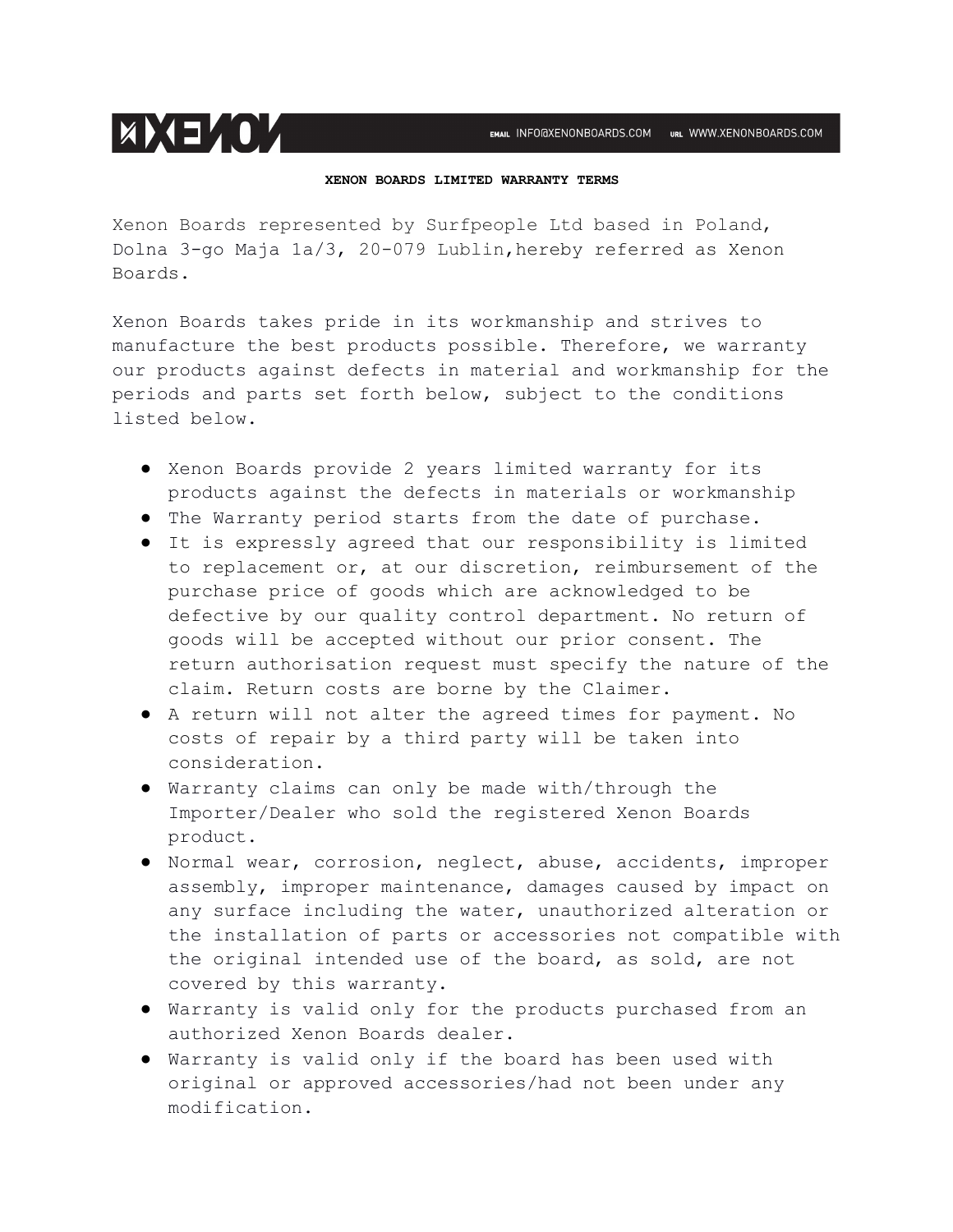## **XENON BOARDS LIMITED WARRANTY TERMS**

Xenon Boards represented by Surfpeople Ltd based in Poland, Dolna 3-go Maja 1a/3, 20-079 Lublin, hereby referred as Xenon Boards.

**EXEMINATION** 

Xenon Boards takes pride in its workmanship and strives to manufacture the best products possible. Therefore, we warranty our products against defects in material and workmanship for the periods and parts set forth below, subject to the conditions listed below.

- Xenon Boards provide 2 years limited warranty for its products against the defects in materials or workmanship
- The Warranty period starts from the date of purchase.
- It is expressly agreed that our responsibility is limited to replacement or, at our discretion, reimbursement of the purchase price of goods which are acknowledged to be defective by our quality control department. No return of goods will be accepted without our prior consent. The return authorisation request must specify the nature of the claim. Return costs are borne by the Claimer.
- A return will not alter the agreed times for payment. No costs of repair by a third party will be taken into consideration.
- Warranty claims can only be made with/through the Importer/Dealer who sold the registered Xenon Boards product.
- Normal wear, corrosion, neglect, abuse, accidents, improper assembly, improper maintenance, damages caused by impact on any surface including the water, unauthorized alteration or the installation of parts or accessories not compatible with the original intended use of the board, as sold, are not covered by this warranty.
- Warranty is valid only for the products purchased from an authorized Xenon Boards dealer.
- Warranty is valid only if the board has been used with original or approved accessories/had not been under any modification.